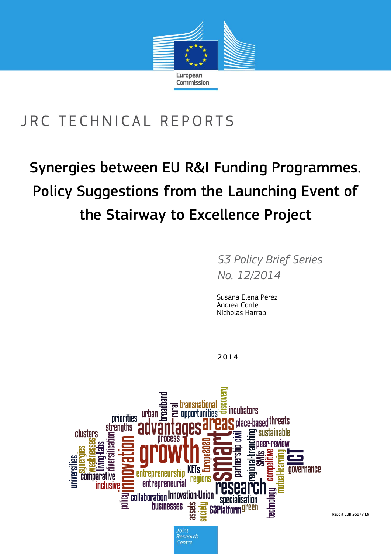

# JRC TECHNICAL REPORTS

# Synergies between EU R&I Funding Programmes. Policy Suggestions from the Launching Event of the Stairway to Excellence Project

*S3 Policy Brief Series No. 12/2014*

Susana Elena Perez Andrea Conte Nicholas Harrap

2014



Report EUR 26977 EN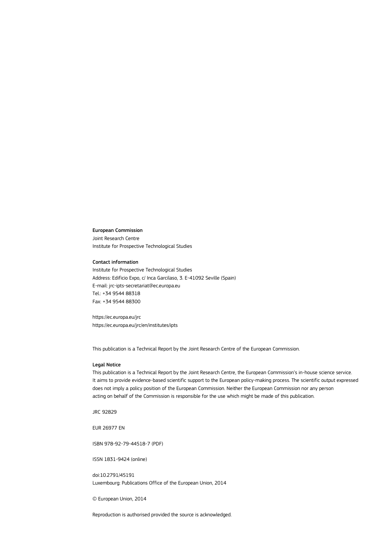#### European Commission

Joint Research Centre Institute for Prospective Technological Studies

#### Contact information

Institute for Prospective Technological Studies Address: Edificio Expo, c/ Inca Garcilaso, 3. E-41092 Seville (Spain) E-mail: jrc-ipts-secretariat@ec.europa.eu Tel.: +34 9544 88318 Fax: +34 9544 88300

https://ec.europa.eu/jrc https://ec.europa.eu/jrc/en/institutes/ipts

This publication is a Technical Report by the Joint Research Centre of the European Commission.

#### Legal Notice

This publication is a Technical Report by the Joint Research Centre, the European Commission's in-house science service. It aims to provide evidence-based scientific support to the European policy-making process. The scientific output expressed does not imply a policy position of the European Commission. Neither the European Commission nor any person acting on behalf of the Commission is responsible for the use which might be made of this publication.

JRC 92829

EUR 26977 EN

ISBN 978-92-79-44518-7 (PDF)

ISSN 1831-9424 (online)

doi:10.2791/45191 Luxembourg: Publications Office of the European Union, 2014

© European Union, 2014

Reproduction is authorised provided the source is acknowledged.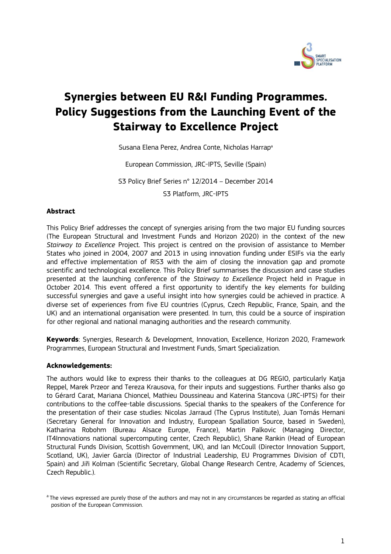

# **Synergies between EU R&I Funding Programmes. Policy Suggestions from the Launching Event of the Stairway to Excellence Project**

Susana Elena Perez, Andrea Conte, Nicholas Harrap<sup>a</sup>

European Commission, JRC-IPTS, Seville (Spain)

S3 Policy Brief Series n° 12/2014 – December 2014

S3 Platform, JRC-IPTS

#### **Abstract**

This Policy Brief addresses the concept of synergies arising from the two major EU funding sources (The European Structural and Investment Funds and Horizon 2020) in the context of the new *Stairway to Excellence* Project. This project is centred on the provision of assistance to Member States who joined in 2004, 2007 and 2013 in using innovation funding under ESIFs via the early and effective implementation of RIS3 with the aim of closing the innovation gap and promote scientific and technological excellence. This Policy Brief summarises the discussion and case studies presented at the launching conference of the *Stairway to Excellence* Project held in Prague in October 2014. This event offered a first opportunity to identify the key elements for building successful synergies and gave a useful insight into how synergies could be achieved in practice. A diverse set of experiences from five EU countries (Cyprus, Czech Republic, France, Spain, and the UK) and an international organisation were presented. In turn, this could be a source of inspiration for other regional and national managing authorities and the research community.

**Keywords**: Synergies, Research & Development, Innovation, Excellence, Horizon 2020, Framework Programmes, European Structural and Investment Funds, Smart Specialization.

#### **Acknowledgements:**

The authors would like to express their thanks to the colleagues at DG REGIO, particularly Katja Reppel, Marek Przeor and Tereza Krausova, for their inputs and suggestions. Further thanks also go to Gérard Carat, Mariana Chioncel, Mathieu Doussineau and Katerina Stancova (JRC-IPTS) for their contributions to the coffee-table discussions. Special thanks to the speakers of the Conference for the presentation of their case studies: Nicolas Jarraud (The Cyprus Institute), Juan Tomás Hernani (Secretary General for Innovation and Industry, European Spallation Source, based in Sweden), Katharina Robohm (Bureau Alsace Europe, France), Martin Palkovic (Managing Director, IT4Innovations national supercomputing center, Czech Republic), Shane Rankin (Head of European Structural Funds Division, Scottish Government, UK), and Ian McCoull (Director Innovation Support, Scotland, UK), Javier García (Director of Industrial Leadership, EU Programmes Division of CDTI, Spain) and Jiři Kolman (Scientific Secretary, Global Change Research Centre, Academy of Sciences, Czech Republic.).

<sup>&</sup>lt;sup>a</sup>The views expressed are purely those of the authors and may not in any circumstances be regarded as stating an official position of the European Commission.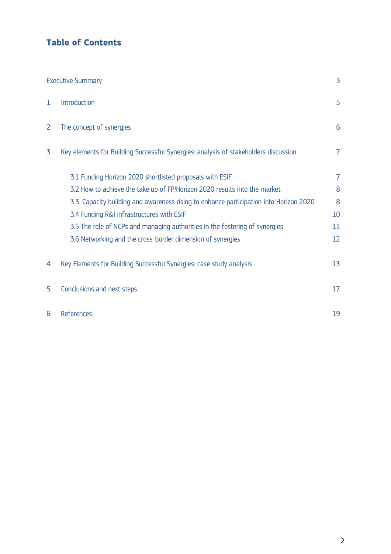# **Table of Contents**

| <b>Executive Summary</b> |                                                                                        | 3  |
|--------------------------|----------------------------------------------------------------------------------------|----|
| 1.                       | Introduction                                                                           | 5  |
| 2.                       | The concept of synergies                                                               | 6  |
| 3.                       | Key elements for Building Successful Synergies: analysis of stakeholders discussion    | 7  |
|                          | 3.1 Funding Horizon 2020 shortlisted proposals with ESIF                               | 7  |
|                          | 3.2 How to achieve the take up of FP/Horizon 2020 results into the market              | 8  |
|                          | 3.3. Capacity building and awareness rising to enhance participation into Horizon 2020 | 8  |
|                          | 3.4 Funding R&I infrastructures with ESIF                                              | 10 |
|                          | 3.5 The role of NCPs and managing authorities in the fostering of synergies            | 11 |
|                          | 3.6 Networking and the cross-border dimension of synergies                             | 12 |
| 4                        | Key Elements for Building Successful Synergies: case study analysis                    | 13 |
| 5.                       | Conclusions and next steps                                                             | 17 |
| 6.                       | <b>References</b>                                                                      | 19 |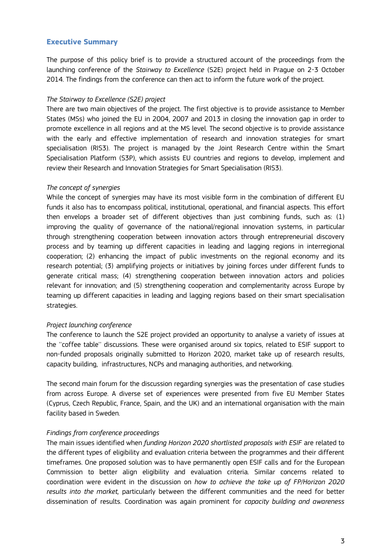#### <span id="page-4-0"></span>**Executive Summary**

The purpose of this policy brief is to provide a structured account of the proceedings from the launching conference of the *Stairway to Excellence* (S2E) project held in Prague on 2-3 October 2014. The findings from the conference can then act to inform the future work of the project.

#### *The Stairway to Excellence (S2E) project*

There are two main objectives of the project. The first objective is to provide assistance to Member States (MSs) who joined the EU in 2004, 2007 and 2013 in closing the innovation gap in order to promote excellence in all regions and at the MS level. The second objective is to provide assistance with the early and effective implementation of research and innovation strategies for smart specialisation (RIS3). The project is managed by the Joint Research Centre within the Smart Specialisation Platform (S3P), which assists EU countries and regions to develop, implement and review their Research and Innovation Strategies for Smart Specialisation (RIS3).

#### *The concept of synergies*

While the concept of synergies may have its most visible form in the combination of different EU funds it also has to encompass political, institutional, operational, and financial aspects. This effort then envelops a broader set of different objectives than just combining funds, such as: (1) improving the quality of governance of the national/regional innovation systems, in particular through strengthening cooperation between innovation actors through entrepreneurial discovery process and by teaming up different capacities in leading and lagging regions in interregional cooperation; (2) enhancing the impact of public investments on the regional economy and its research potential; (3) amplifying projects or initiatives by joining forces under different funds to generate critical mass; (4) strengthening cooperation between innovation actors and policies relevant for innovation; and (5) strengthening cooperation and complementarity across Europe by teaming up different capacities in leading and lagging regions based on their smart specialisation strategies.

#### *Project launching conference*

The conference to launch the S2E project provided an opportunity to analyse a variety of issues at the ''coffee table'' discussions. These were organised around six topics, related to ESIF support to non-funded proposals originally submitted to Horizon 2020, market take up of research results, capacity building, infrastructures, NCPs and managing authorities, and networking.

The second main forum for the discussion regarding synergies was the presentation of case studies from across Europe. A diverse set of experiences were presented from five EU Member States (Cyprus, Czech Republic, France, Spain, and the UK) and an international organisation with the main facility based in Sweden.

#### *Findings from conference proceedings*

The main issues identified when *funding Horizon 2020 shortlisted proposals with ESIF* are related to the different types of eligibility and evaluation criteria between the programmes and their different timeframes. One proposed solution was to have permanently open ESIF calls and for the European Commission to better align eligibility and evaluation criteria. Similar concerns related to coordination were evident in the discussion on *how to achieve the take up of FP/Horizon 2020 results into the market,* particularly between the different communities and the need for better dissemination of results. Coordination was again prominent for *capacity building and awareness*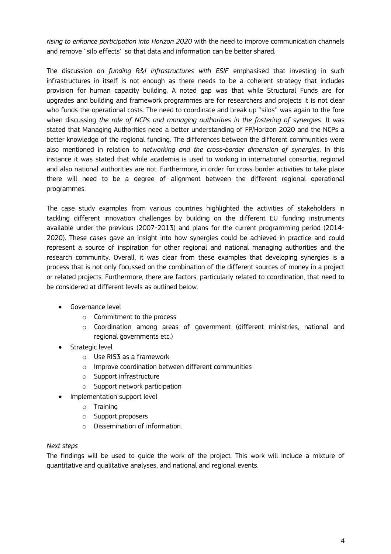*rising to enhance participation into Horizon 2020* with the need to improve communication channels and remove ''silo effects'' so that data and information can be better shared.

The discussion on *funding R&I infrastructures with ESIF* emphasised that investing in such infrastructures in itself is not enough as there needs to be a coherent strategy that includes provision for human capacity building. A noted gap was that while Structural Funds are for upgrades and building and framework programmes are for researchers and projects it is not clear who funds the operational costs. The need to coordinate and break up ''silos'' was again to the fore when discussing *the role of NCPs and managing authorities in the fostering of synergies*. It was stated that Managing Authorities need a better understanding of FP/Horizon 2020 and the NCPs a better knowledge of the regional funding. The differences between the different communities were also mentioned in relation to *networking and the cross-border dimension of synergies*. In this instance it was stated that while academia is used to working in international consortia, regional and also national authorities are not. Furthermore, in order for cross-border activities to take place there will need to be a degree of alignment between the different regional operational programmes.

The case study examples from various countries highlighted the activities of stakeholders in tackling different innovation challenges by building on the different EU funding instruments available under the previous (2007-2013) and plans for the current programming period (2014- 2020). These cases gave an insight into how synergies could be achieved in practice and could represent a source of inspiration for other regional and national managing authorities and the research community. Overall, it was clear from these examples that developing synergies is a process that is not only focussed on the combination of the different sources of money in a project or related projects. Furthermore, there are factors, particularly related to coordination, that need to be considered at different levels as outlined below.

- **•** Governance level
	- o Commitment to the process
	- o Coordination among areas of government (different ministries, national and regional governments etc.)
- **•** Strategic level
	- o Use RIS3 as a framework
	- o Improve coordination between different communities
	- o Support infrastructure
	- o Support network participation
- Implementation support level
	- o Training
	- o Support proposers
	- o Dissemination of information.

#### *Next steps*

The findings will be used to guide the work of the project. This work will include a mixture of quantitative and qualitative analyses, and national and regional events.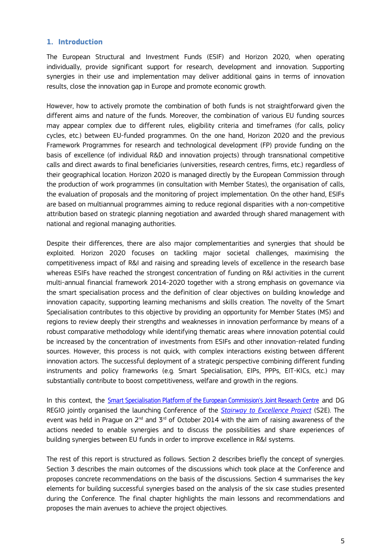#### <span id="page-6-0"></span>**1. Introduction**

The European Structural and Investment Funds (ESIF) and Horizon 2020, when operating individually, provide significant support for research, development and innovation. Supporting synergies in their use and implementation may deliver additional gains in terms of innovation results, close the innovation gap in Europe and promote economic growth.

However, how to actively promote the combination of both funds is not straightforward given the different aims and nature of the funds. Moreover, the combination of various EU funding sources may appear complex due to different rules, eligibility criteria and timeframes (for calls, policy cycles, etc.) between EU-funded programmes. On the one hand, Horizon 2020 and the previous Framework Programmes for research and technological development (FP) provide funding on the basis of excellence (of individual R&D and innovation projects) through transnational competitive calls and direct awards to final beneficiaries (universities, research centres, firms, etc.) regardless of their geographical location. Horizon 2020 is managed directly by the European Commission through the production of work programmes (in consultation with Member States), the organisation of calls, the evaluation of proposals and the monitoring of project implementation. On the other hand, ESIFs are based on multiannual programmes aiming to reduce regional disparities with a non-competitive attribution based on strategic planning negotiation and awarded through shared management with national and regional managing authorities.

Despite their differences, there are also major complementarities and synergies that should be exploited. Horizon 2020 focuses on tackling major societal challenges, maximising the competitiveness impact of R&I and raising and spreading levels of excellence in the research base whereas ESIFs have reached the strongest concentration of funding on R&I activities in the current multi-annual financial framework 2014-2020 together with a strong emphasis on governance via the smart specialisation process and the definition of clear objectives on building knowledge and innovation capacity, supporting learning mechanisms and skills creation. The novelty of the Smart Specialisation contributes to this objective by providing an opportunity for Member States (MS) and regions to review deeply their strengths and weaknesses in innovation performance by means of a robust comparative methodology while identifying thematic areas where innovation potential could be increased by the concentration of investments from ESIFs and other innovation-related funding sources. However, this process is not quick, with complex interactions existing between different innovation actors. The successful deployment of a strategic perspective combining different funding instruments and policy frameworks (e.g. Smart Specialisation, EIPs, PPPs, EIT-KICs, etc.) may substantially contribute to boost competitiveness, welfare and growth in the regions.

In this context, the Smar[t Specialisation Platform of the European Commission's Joint Research Centre](http://s3platform.jrc.ec.europa.eu/home) and DG REGIO jointly organised the launching Conference of the *[Stairway to Excellence Project](http://s3platform.jrc.ec.europa.eu/stairway-to-excellence)* (S2E). The event was held in Prague on 2 $^{\rm nd}$  and 3 $^{\rm rd}$  of October 2014 with the aim of raising awareness of the actions needed to enable synergies and to discuss the possibilities and share experiences of building synergies between EU funds in order to improve excellence in R&I systems.

The rest of this report is structured as follows. Section 2 describes briefly the concept of synergies. Section 3 describes the main outcomes of the discussions which took place at the Conference and proposes concrete recommendations on the basis of the discussions. Section 4 summarises the key elements for building successful synergies based on the analysis of the six case studies presented during the Conference. The final chapter highlights the main lessons and recommendations and proposes the main avenues to achieve the project objectives.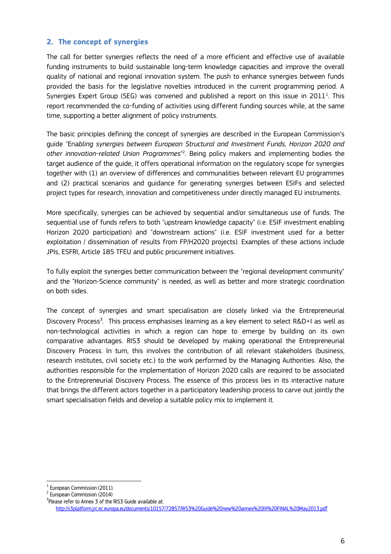#### <span id="page-7-0"></span>**2. The concept of synergies**

The call for better synergies reflects the need of a more efficient and effective use of available funding instruments to build sustainable long-term knowledge capacities and improve the overall quality of national and regional innovation system. The push to enhance synergies between funds provided the basis for the legislative novelties introduced in the current programming period. A Synergies Expert Group (SEG) was convened and published a report on this issue in 20 $11^1$ . This report recommended the co-funding of activities using different funding sources while, at the same time, supporting a better alignment of policy instruments.

The basic principles defining the concept of synergies are described in the European Commission's guide "Ena*[bling synergies between European Structural and Investment Funds, Horizon 2020 and](http://ec.europa.eu/regional_policy/sources/docgener/guides/synergy/synergies_en.pdf)  [other innovation-related Union Programmes](http://ec.europa.eu/regional_policy/sources/docgener/guides/synergy/synergies_en.pdf)*" 2 . Being policy makers and implementing bodies the target audience of the guide, it offers operational information on the regulatory scope for synergies together with (1) an overview of differences and communalities between relevant EU programmes and (2) practical scenarios and guidance for generating synergies between ESIFs and selected project types for research, innovation and competitiveness under directly managed EU instruments.

More specifically, synergies can be achieved by sequential and/or simultaneous use of funds. The sequential use of funds refers to both "upstream knowledge capacity" (i.e. ESIF investment enabling Horizon 2020 participation) and "downstream actions" (i.e. ESIF investment used for a better exploitation / dissemination of results from FP/H2020 projects). Examples of these actions include JPIs, ESFRI, Article 185 TFEU and public procurement initiatives.

To fully exploit the synergies better communication between the "regional development community" and the "Horizon-Science community" is needed, as well as better and more strategic coordination on both sides.

The concept of synergies and smart specialisation are closely linked via the Entrepreneurial Discovery Process<sup>3</sup>. This process emphasises learning as a key element to select R&D+I as well as non-technological activities in which a region can hope to emerge by building on its own comparative advantages. RIS3 should be developed by making operational the Entrepreneurial Discovery Process. In turn, this involves the contribution of all relevant stakeholders (business, research institutes, civil society etc.) to the work performed by the Managing Authorities. Also, the authorities responsible for the implementation of Horizon 2020 calls are required to be associated to the Entrepreneurial Discovery Process. The essence of this process lies in its interactive nature that brings the different actors together in a participatory leadership process to carve out jointly the smart specialisation fields and develop a suitable policy mix to implement it.

 $\overline{\phantom{a}}$  $^1$  European Commission (2011).

<sup>&</sup>lt;sup>2</sup> [European](http://ec.europa.eu/regional_policy/sources/docgener/guides/synergy/synergies_en.pdf) Commission (2014)

 $3$ Please refer to Annex 3 of the RIS3 Guide available at: <http://s3platform.jrc.ec.europa.eu/documents/10157/72857/RIS3%20Guide%20new%20annex%20III%20FINAL%20May2013.pdf>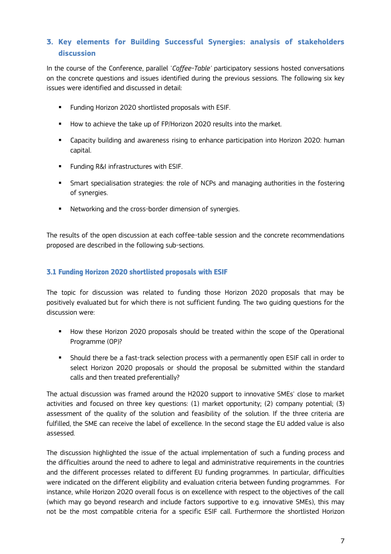# <span id="page-8-0"></span>**3. Key elements for Building Successful Synergies: analysis of stakeholders discussion**

In the course of the Conference, parallel '*Coffee-Table'* participatory sessions hosted conversations on the concrete questions and issues identified during the previous sessions. The following six key issues were identified and discussed in detail:

- **Funding Horizon 2020 shortlisted proposals with ESIF.**
- How to achieve the take up of FP/Horizon 2020 results into the market.
- Capacity building and awareness rising to enhance participation into Horizon 2020: human capital.
- **Funding R&I infrastructures with ESIF.**
- **Smart specialisation strategies: the role of NCPs and managing authorities in the fostering** of synergies.
- **Networking and the cross-border dimension of synergies.**

The results of the open discussion at each coffee-table session and the concrete recommendations proposed are described in the following sub-sections.

#### <span id="page-8-1"></span>**3.1 Funding Horizon 2020 shortlisted proposals with ESIF**

The topic for discussion was related to funding those Horizon 2020 proposals that may be positively evaluated but for which there is not sufficient funding. The two guiding questions for the discussion were:

- **How these Horizon 2020 proposals should be treated within the scope of the Operational** Programme (OP)?
- Should there be a fast-track selection process with a permanently open ESIF call in order to select Horizon 2020 proposals or should the proposal be submitted within the standard calls and then treated preferentially?

The actual discussion was framed around the H2020 support to innovative SMEs' close to market activities and focused on three key questions: (1) market opportunity; (2) company potential; (3) assessment of the quality of the solution and feasibility of the solution. If the three criteria are fulfilled, the SME can receive the label of excellence. In the second stage the EU added value is also assessed.

The discussion highlighted the issue of the actual implementation of such a funding process and the difficulties around the need to adhere to legal and administrative requirements in the countries and the different processes related to different EU funding programmes. In particular, difficulties were indicated on the different eligibility and evaluation criteria between funding programmes. For instance, while Horizon 2020 overall focus is on excellence with respect to the objectives of the call (which may go beyond research and include factors supportive to e.g. innovative SMEs), this may not be the most compatible criteria for a specific ESIF call. Furthermore the shortlisted Horizon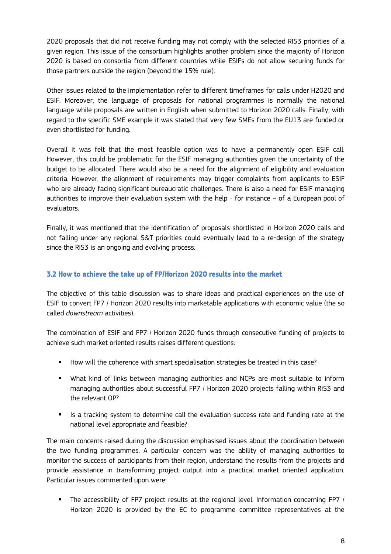2020 proposals that did not receive funding may not comply with the selected RIS3 priorities of a given region. This issue of the consortium highlights another problem since the majority of Horizon 2020 is based on consortia from different countries while ESIFs do not allow securing funds for those partners outside the region (beyond the 15% rule).

Other issues related to the implementation refer to different timeframes for calls under H2020 and ESIF. Moreover, the language of proposals for national programmes is normally the national language while proposals are written in English when submitted to Horizon 2020 calls. Finally, with regard to the specific SME example it was stated that very few SMEs from the EU13 are funded or even shortlisted for funding.

Overall it was felt that the most feasible option was to have a permanently open ESIF call. However, this could be problematic for the ESIF managing authorities given the uncertainty of the budget to be allocated. There would also be a need for the alignment of eligibility and evaluation criteria. However, the alignment of requirements may trigger complaints from applicants to ESIF who are already facing significant bureaucratic challenges. There is also a need for ESIF managing authorities to improve their evaluation system with the help - for instance  $-$  of a European pool of evaluators.

Finally, it was mentioned that the identification of proposals shortlisted in Horizon 2020 calls and not falling under any regional S&T priorities could eventually lead to a re-design of the strategy since the RIS3 is an ongoing and evolving process.

#### <span id="page-9-1"></span><span id="page-9-0"></span>**3.2 How to achieve the take up of FP/Horizon 2020 results into the market**

The objective of this table discussion was to share ideas and practical experiences on the use of ESIF to convert FP7 / Horizon 2020 results into marketable applications with economic value (the so called *downstream* activities).

The combination of ESIF and FP7 / Horizon 2020 funds through consecutive funding of projects to achieve such market oriented results raises different questions:

- How will the coherence with smart specialisation strategies be treated in this case?
- What kind of links between managing authorities and NCPs are most suitable to inform managing authorities about successful FP7 / Horizon 2020 projects falling within RIS3 and the relevant OP?
- Is a tracking system to determine call the evaluation success rate and funding rate at the national level appropriate and feasible?

The main concerns raised during the discussion emphasised issues about the coordination between the two funding programmes. A particular concern was the ability of managing authorities to monitor the success of participants from their region, understand the results from the projects and provide assistance in transforming project output into a practical market oriented application. Particular issues commented upon were:

 The accessibility of FP7 project results at the regional level. Information concerning FP7 / Horizon 2020 is provided by the EC to programme committee representatives at the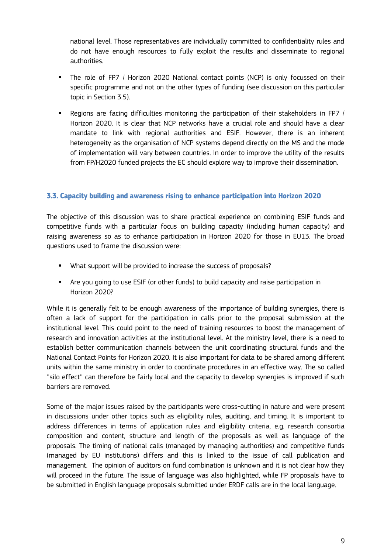national level. Those representatives are individually committed to confidentiality rules and do not have enough resources to fully exploit the results and disseminate to regional authorities.

- The role of FP7 / Horizon 2020 National contact points (NCP) is only focussed on their specific programme and not on the other types of funding (see discussion on this particular topic in Section 3.5).
- Regions are facing difficulties monitoring the participation of their stakeholders in FP7 / Horizon 2020. It is clear that NCP networks have a crucial role and should have a clear mandate to link with regional authorities and ESIF. However, there is an inherent heterogeneity as the organisation of NCP systems depend directly on the MS and the mode of implementation will vary between countries. In order to improve the utility of the results from FP/H2020 funded projects the EC should explore way to improve their dissemination.

### **3.3. Capacity building and awareness rising to enhance participation into Horizon 2020**

The objective of this discussion was to share practical experience on combining ESIF funds and competitive funds with a particular focus on building capacity (including human capacity) and raising awareness so as to enhance participation in Horizon 2020 for those in EU13. The broad questions used to frame the discussion were:

- **What support will be provided to increase the success of proposals?**
- Are you going to use ESIF (or other funds) to build capacity and raise participation in Horizon 2020?

While it is generally felt to be enough awareness of the importance of building synergies, there is often a lack of support for the participation in calls prior to the proposal submission at the institutional level. This could point to the need of training resources to boost the management of research and innovation activities at the institutional level. At the ministry level, there is a need to establish better communication channels between the unit coordinating structural funds and the National Contact Points for Horizon 2020. It is also important for data to be shared among different units within the same ministry in order to coordinate procedures in an effective way. The so called ''silo effect'' can therefore be fairly local and the capacity to develop synergies is improved if such barriers are removed.

Some of the major issues raised by the participants were cross-cutting in nature and were present in discussions under other topics such as eligibility rules, auditing, and timing. It is important to address differences in terms of application rules and eligibility criteria, e.g. research consortia composition and content, structure and length of the proposals as well as language of the proposals. The timing of national calls (managed by managing authorities) and competitive funds (managed by EU institutions) differs and this is linked to the issue of call publication and management. The opinion of auditors on fund combination is unknown and it is not clear how they will proceed in the future. The issue of language was also highlighted, while FP proposals have to be submitted in English language proposals submitted under ERDF calls are in the local language.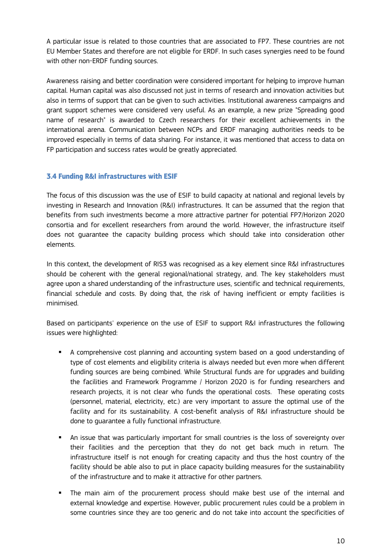A particular issue is related to those countries that are associated to FP7. These countries are not EU Member States and therefore are not eligible for ERDF. In such cases synergies need to be found with other non-ERDF funding sources.

Awareness raising and better coordination were considered important for helping to improve human capital. Human capital was also discussed not just in terms of research and innovation activities but also in terms of support that can be given to such activities. Institutional awareness campaigns and grant support schemes were considered very useful. As an example, a new prize "Spreading good name of research" is awarded to Czech researchers for their excellent achievements in the international arena. Communication between NCPs and ERDF managing authorities needs to be improved especially in terms of data sharing. For instance, it was mentioned that access to data on FP participation and success rates would be greatly appreciated.

### <span id="page-11-0"></span>**3.4 Funding R&I infrastructures with ESIF**

The focus of this discussion was the use of ESIF to build capacity at national and regional levels by investing in Research and Innovation (R&I) infrastructures. It can be assumed that the region that benefits from such investments become a more attractive partner for potential FP7/Horizon 2020 consortia and for excellent researchers from around the world. However, the infrastructure itself does not guarantee the capacity building process which should take into consideration other elements.

In this context, the development of RIS3 was recognised as a key element since R&I infrastructures should be coherent with the general regional/national strategy, and. The key stakeholders must agree upon a shared understanding of the infrastructure uses, scientific and technical requirements, financial schedule and costs. By doing that, the risk of having inefficient or empty facilities is minimised.

Based on participants' experience on the use of ESIF to support R&I infrastructures the following issues were highlighted:

- A comprehensive cost planning and accounting system based on a good understanding of type of cost elements and eligibility criteria is always needed but even more when different funding sources are being combined. While Structural funds are for upgrades and building the facilities and Framework Programme / Horizon 2020 is for funding researchers and research projects, it is not clear who funds the operational costs. These operating costs (personnel, material, electricity, etc.) are very important to assure the optimal use of the facility and for its sustainability. A cost-benefit analysis of R&I infrastructure should be done to guarantee a fully functional infrastructure.
- An issue that was particularly important for small countries is the loss of sovereignty over their facilities and the perception that they do not get back much in return. The infrastructure itself is not enough for creating capacity and thus the host country of the facility should be able also to put in place capacity building measures for the sustainability of the infrastructure and to make it attractive for other partners.
- The main aim of the procurement process should make best use of the internal and external knowledge and expertise. However, public procurement rules could be a problem in some countries since they are too generic and do not take into account the specificities of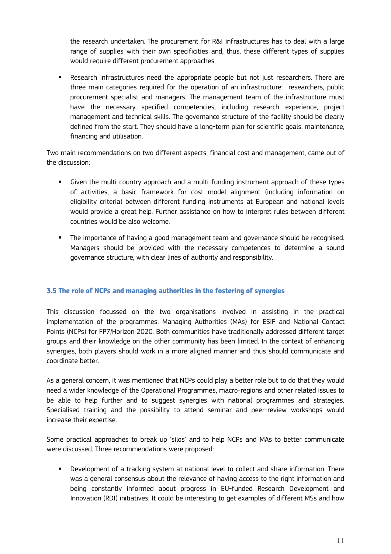the research undertaken. The procurement for R&I infrastructures has to deal with a large range of supplies with their own specificities and, thus, these different types of supplies would require different procurement approaches.

 Research infrastructures need the appropriate people but not just researchers. There are three main categories required for the operation of an infrastructure: researchers, public procurement specialist and managers. The management team of the infrastructure must have the necessary specified competencies, including research experience, project management and technical skills. The governance structure of the facility should be clearly defined from the start. They should have a long-term plan for scientific goals, maintenance, financing and utilisation.

Two main recommendations on two different aspects, financial cost and management, came out of the discussion:

- Given the multi-country approach and a multi-funding instrument approach of these types of activities, a basic framework for cost model alignment (including information on eligibility criteria) between different funding instruments at European and national levels would provide a great help. Further assistance on how to interpret rules between different countries would be also welcome.
- The importance of having a good management team and governance should be recognised. Managers should be provided with the necessary competences to determine a sound governance structure, with clear lines of authority and responsibility.

## <span id="page-12-0"></span>**3.5 The role of NCPs and managing authorities in the fostering of synergies**

This discussion focussed on the two organisations involved in assisting in the practical implementation of the programmes: Managing Authorities (MAs) for ESIF and National Contact Points (NCPs) for FP7/Horizon 2020. Both communities have traditionally addressed different target groups and their knowledge on the other community has been limited. In the context of enhancing synergies, both players should work in a more aligned manner and thus should communicate and coordinate better.

As a general concern, it was mentioned that NCPs could play a better role but to do that they would need a wider knowledge of the Operational Programmes, macro-regions and other related issues to be able to help further and to suggest synergies with national programmes and strategies. Specialised training and the possibility to attend seminar and peer-review workshops would increase their expertise.

Some practical approaches to break up 'silos' and to help NCPs and MAs to better communicate were discussed. Three recommendations were proposed:

 Development of a tracking system at national level to collect and share information. There was a general consensus about the relevance of having access to the right information and being constantly informed about progress in EU-funded Research Development and Innovation (RDI) initiatives. It could be interesting to get examples of different MSs and how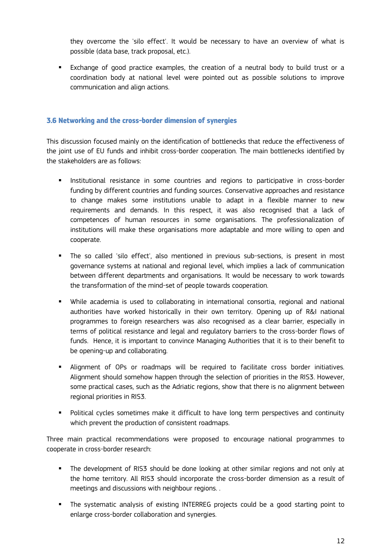they overcome the 'silo effect'. It would be necessary to have an overview of what is possible (data base, track proposal, etc.).

 Exchange of good practice examples, the creation of a neutral body to build trust or a coordination body at national level were pointed out as possible solutions to improve communication and align actions.

#### <span id="page-13-0"></span>**3.6 Networking and the cross-border dimension of synergies**

This discussion focused mainly on the identification of bottlenecks that reduce the effectiveness of the joint use of EU funds and inhibit cross-border cooperation. The main bottlenecks identified by the stakeholders are as follows:

- **Institutional resistance in some countries and regions to participative in cross-border** funding by different countries and funding sources. Conservative approaches and resistance to change makes some institutions unable to adapt in a flexible manner to new requirements and demands. In this respect, it was also recognised that a lack of competences of human resources in some organisations. The professionalization of institutions will make these organisations more adaptable and more willing to open and cooperate.
- The so called 'silo effect', also mentioned in previous sub-sections, is present in most governance systems at national and regional level, which implies a lack of communication between different departments and organisations. It would be necessary to work towards the transformation of the mind-set of people towards cooperation.
- While academia is used to collaborating in international consortia, regional and national authorities have worked historically in their own territory. Opening up of R&I national programmes to foreign researchers was also recognised as a clear barrier, especially in terms of political resistance and legal and regulatory barriers to the cross-border flows of funds. Hence, it is important to convince Managing Authorities that it is to their benefit to be opening-up and collaborating.
- Alignment of OPs or roadmaps will be required to facilitate cross border initiatives. Alignment should somehow happen through the selection of priorities in the RIS3. However, some practical cases, such as the Adriatic regions, show that there is no alignment between regional priorities in RIS3.
- **Political cycles sometimes make it difficult to have long term perspectives and continuity** which prevent the production of consistent roadmaps.

Three main practical recommendations were proposed to encourage national programmes to cooperate in cross-border research:

- The development of RIS3 should be done looking at other similar regions and not only at the home territory. All RIS3 should incorporate the cross-border dimension as a result of meetings and discussions with neighbour regions. .
- The systematic analysis of existing INTERREG projects could be a good starting point to enlarge cross-border collaboration and synergies.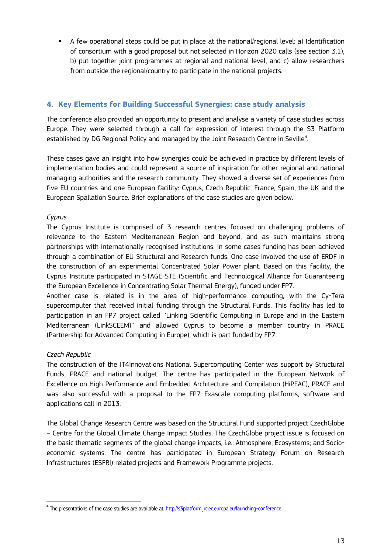A few operational steps could be put in place at the national/regional level: a) Identification of consortium with a good proposal but not selected in Horizon 2020 calls (see section 3.1), b) put together joint programmes at regional and national level, and c) allow researchers from outside the regional/country to participate in the national projects.

### <span id="page-14-0"></span>**4. Key Elements for Building Successful Synergies: case study analysis**

The conference also provided an opportunity to present and analyse a variety of case studies across Europe. They were selected through a call for expression of interest through the S3 Platform established by DG Regional Policy and managed by the Joint Research Centre in Seville<sup>4</sup>. .

These cases gave an insight into how synergies could be achieved in practice by different levels of implementation bodies and could represent a source of inspiration for other regional and national managing authorities and the research community. They showed a diverse set of experiences from five EU countries and one European facility: Cyprus, Czech Republic, France, Spain, the UK and the European Spallation Source. Brief explanations of the case studies are given below.

### *Cyprus*

The Cyprus Institute is comprised of 3 research centres focused on challenging problems of relevance to the Eastern Mediterranean Region and beyond, and as such maintains strong partnerships with internationally recognised institutions. In some cases funding has been achieved through a combination of EU Structural and Research funds. One case involved the use of ERDF in the construction of an experimental Concentrated Solar Power plant. Based on this facility, the Cyprus Institute participated in STAGE-STE (Scientific and Technological Alliance for Guaranteeing the European Excellence in Concentrating Solar Thermal Energy), funded under FP7.

Another case is related is in the area of high-performance computing, with the Cy-Tera supercomputer that received initial funding through the Structural Funds. This facility has led to participation in an FP7 project called ''Linking Scientific Computing in Europe and in the Eastern Mediterranean (LinkSCEEM)'' and allowed Cyprus to become a member country in PRACE (Partnership for Advanced Computing in Europe), which is part funded by FP7.

### *Czech Republic*

The construction of the IT4Innovations National Supercomputing Center was support by Structural Funds, PRACE and national budget. The centre has participated in the European Network of Excellence on High Performance and Embedded Architecture and Compilation (HiPEAC), PRACE and was also successful with a proposal to the FP7 Exascale computing platforms, software and applications call in 2013.

The Global Change Research Centre was based on the Structural Fund supported project CzechGlobe – Centre for the Global Climate Change Impact Studies. The CzechGlobe project issue is focused on the basic thematic segments of the global change impacts, i.e.: Atmosphere, Ecosystems; and Socioeconomic systems. The centre has participated in European Strategy Forum on Research Infrastructures (ESFRI) related projects and Framework Programme projects.

 $\overline{\phantom{a}}$ <sup>4</sup> The presentations of the case studies are available at: <u>http://s3platform.jrc.ec.europa.eu/launching-conference</u>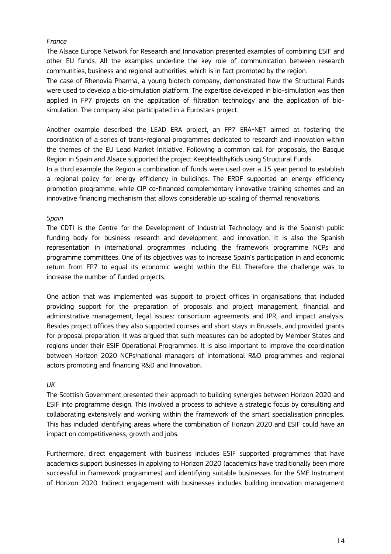#### *France*

The Alsace Europe Network for Research and Innovation presented examples of combining ESIF and other EU funds. All the examples underline the key role of communication between research communities, business and regional authorities, which is in fact promoted by the region.

The case of Rhenovia Pharma, a young biotech company, demonstrated how the Structural Funds were used to develop a bio-simulation platform. The expertise developed in bio-simulation was then applied in FP7 projects on the application of filtration technology and the application of biosimulation. The company also participated in a Eurostars project.

Another example described the LEAD ERA project, an FP7 ERA-NET aimed at fostering the coordination of a series of trans-regional programmes dedicated to research and innovation within the themes of the EU Lead Market Initiative. Following a common call for proposals, the Basque Region in Spain and Alsace supported the project KeepHealthyKids using Structural Funds.

In a third example the Region a combination of funds were used over a 15 year period to establish a regional policy for energy efficiency in buildings. The ERDF supported an energy efficiency promotion programme, while CIP co-financed complementary innovative training schemes and an innovative financing mechanism that allows considerable up-scaling of thermal renovations.

#### *Spain*

The CDTI is the Centre for the Development of Industrial Technology and is the Spanish public funding body for business research and development, and innovation. It is also the Spanish representation in international programmes including the framework programme NCPs and programme committees. One of its objectives was to increase Spain's participation in and economic return from FP7 to equal its economic weight within the EU. Therefore the challenge was to increase the number of funded projects.

One action that was implemented was support to project offices in organisations that included providing support for the preparation of proposals and project management, financial and administrative management, legal issues: consortium agreements and IPR, and impact analysis. Besides project offices they also supported courses and short stays in Brussels, and provided grants for proposal preparation. It was argued that such measures can be adopted by Member States and regions under their ESIF Operational Programmes. It is also important to improve the coordination between Horizon 2020 NCPs/national managers of international R&D programmes and regional actors promoting and financing R&D and Innovation.

#### *UK*

The Scottish Government presented their approach to building synergies between Horizon 2020 and ESIF into programme design. This involved a process to achieve a strategic focus by consulting and collaborating extensively and working within the framework of the smart specialisation principles. This has included identifying areas where the combination of Horizon 2020 and ESIF could have an impact on competitiveness, growth and jobs.

Furthermore, direct engagement with business includes ESIF supported programmes that have academics support businesses in applying to Horizon 2020 (academics have traditionally been more successful in framework programmes) and identifying suitable businesses for the SME Instrument of Horizon 2020. Indirect engagement with businesses includes building innovation management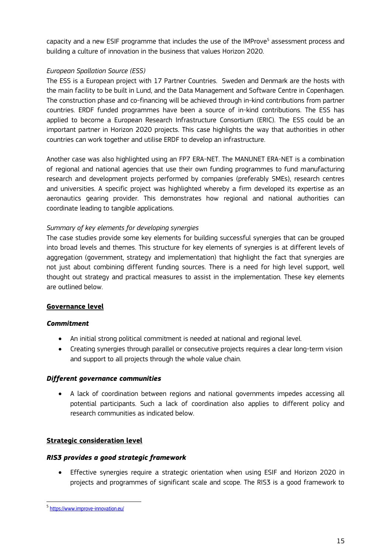capacity and a new ESIF programme that includes the use of the IMProve<sup>5</sup> assessment process and building a culture of innovation in the business that values Horizon 2020.

#### *European Spallation Source (ESS)*

The ESS is a European project with 17 Partner Countries. Sweden and Denmark are the hosts with the main facility to be built in Lund, and the Data Management and Software Centre in Copenhagen. The construction phase and co-financing will be achieved through in-kind contributions from partner countries. ERDF funded programmes have been a source of in-kind contributions. The ESS has applied to become a European Research Infrastructure Consortium (ERIC). The ESS could be an important partner in Horizon 2020 projects. This case highlights the way that authorities in other countries can work together and utilise ERDF to develop an infrastructure.

Another case was also highlighted using an FP7 ERA-NET. The MANUNET ERA-NET is a combination of regional and national agencies that use their own funding programmes to fund manufacturing research and development projects performed by companies (preferably SMEs), research centres and universities. A specific project was highlighted whereby a firm developed its expertise as an aeronautics gearing provider. This demonstrates how regional and national authorities can coordinate leading to tangible applications.

#### *Summary of key elements for developing synergies*

The case studies provide some key elements for building successful synergies that can be grouped into broad levels and themes. This structure for key elements of synergies is at different levels of aggregation (government, strategy and implementation) that highlight the fact that synergies are not just about combining different funding sources. There is a need for high level support, well thought out strategy and practical measures to assist in the implementation. These key elements are outlined below.

#### **Governance level**

#### *Commitment*

- An initial strong political commitment is needed at national and regional level.
- Creating synergies through parallel or consecutive projects requires a clear long-term vision and support to all projects through the whole value chain.

#### *Different governance communities*

 A lack of coordination between regions and national governments impedes accessing all potential participants. Such a lack of coordination also applies to different policy and research communities as indicated below.

#### **Strategic consideration level**

#### *RIS3 provides a good strategic framework*

 Effective synergies require a strategic orientation when using ESIF and Horizon 2020 in projects and programmes of significant scale and scope. The RIS3 is a good framework to

 5 <https://www.improve-innovation.eu/>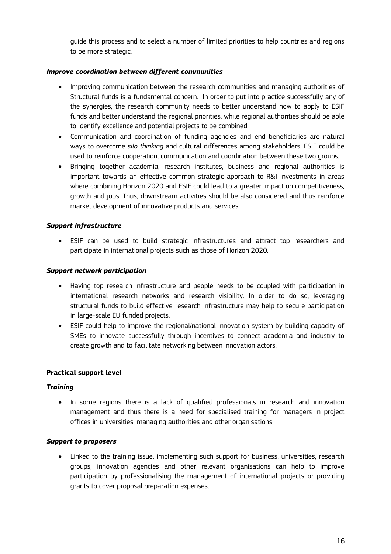guide this process and to select a number of limited priorities to help countries and regions to be more strategic.

#### *Improve coordination between different communities*

- Improving communication between the research communities and managing authorities of Structural funds is a fundamental concern. In order to put into practice successfully any of the synergies, the research community needs to better understand how to apply to ESIF funds and better understand the regional priorities, while regional authorities should be able to identify excellence and potential projects to be combined.
- Communication and coordination of funding agencies and end beneficiaries are natural ways to overcome *silo thinking* and cultural differences among stakeholders. ESIF could be used to reinforce cooperation, communication and coordination between these two groups.
- Bringing together academia, research institutes, business and regional authorities is important towards an effective common strategic approach to R&I investments in areas where combining Horizon 2020 and ESIF could lead to a greater impact on competitiveness, growth and jobs. Thus, downstream activities should be also considered and thus reinforce market development of innovative products and services.

#### *Support infrastructure*

 ESIF can be used to build strategic infrastructures and attract top researchers and participate in international projects such as those of Horizon 2020.

#### *Support network participation*

- Having top research infrastructure and people needs to be coupled with participation in international research networks and research visibility. In order to do so, leveraging structural funds to build effective research infrastructure may help to secure participation in large-scale EU funded projects.
- ESIF could help to improve the regional/national innovation system by building capacity of SMEs to innovate successfully through incentives to connect academia and industry to create growth and to facilitate networking between innovation actors.

#### **Practical support level**

#### *Training*

• In some regions there is a lack of qualified professionals in research and innovation management and thus there is a need for specialised training for managers in project offices in universities, managing authorities and other organisations.

#### *Support to proposers*

 Linked to the training issue, implementing such support for business, universities, research groups, innovation agencies and other relevant organisations can help to improve participation by professionalising the management of international projects or providing grants to cover proposal preparation expenses.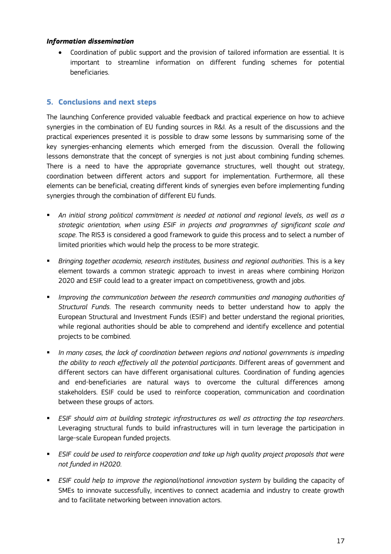#### *Information dissemination*

 Coordination of public support and the provision of tailored information are essential. It is important to streamline information on different funding schemes for potential beneficiaries.

### <span id="page-18-0"></span>**5. Conclusions and next steps**

The launching Conference provided valuable feedback and practical experience on how to achieve synergies in the combination of EU funding sources in R&I. As a result of the discussions and the practical experiences presented it is possible to draw some lessons by summarising some of the key synergies-enhancing elements which emerged from the discussion. Overall the following lessons demonstrate that the concept of synergies is not just about combining funding schemes. There is a need to have the appropriate governance structures, well thought out strategy, coordination between different actors and support for implementation. Furthermore, all these elements can be beneficial, creating different kinds of synergies even before implementing funding synergies through the combination of different EU funds.

- *An initial strong political commitment is needed at national and regional levels, as well as a strategic orientation, when using ESIF in projects and programmes of significant scale and scope*. The RIS3 is considered a good framework to guide this process and to select a number of limited priorities which would help the process to be more strategic.
- *Bringing together academia, research institutes, business and regional authorities*. This is a key element towards a common strategic approach to invest in areas where combining Horizon 2020 and ESIF could lead to a greater impact on competitiveness, growth and jobs.
- *Improving the communication between the research communities and managing authorities of Structural Funds*. The research community needs to better understand how to apply the European Structural and Investment Funds (ESIF) and better understand the regional priorities, while regional authorities should be able to comprehend and identify excellence and potential projects to be combined.
- *In many cases, the lack of coordination between regions and national governments is impeding the ability to reach effectively all the potential participants*. Different areas of government and different sectors can have different organisational cultures. Coordination of funding agencies and end-beneficiaries are natural ways to overcome the cultural differences among stakeholders. ESIF could be used to reinforce cooperation, communication and coordination between these groups of actors.
- *ESIF should aim at building strategic infrastructures as well as attracting the top researchers*. Leveraging structural funds to build infrastructures will in turn leverage the participation in large-scale European funded projects.
- **ESIF could be used to reinforce cooperation and take up high quality project proposals that were** *not funded in H2020*.
- *ESIF could help to improve the regional/national innovation system* by building the capacity of SMEs to innovate successfully, incentives to connect academia and industry to create growth and to facilitate networking between innovation actors.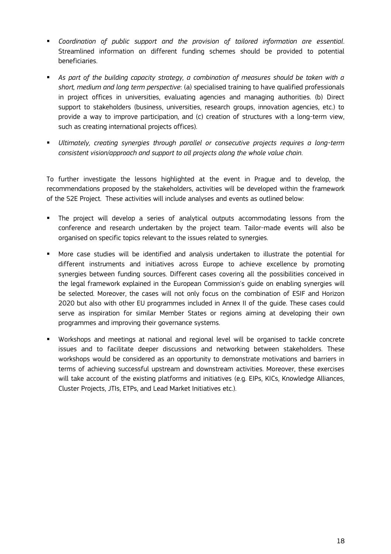- *Coordination of public support and the provision of tailored information are essential*. Streamlined information on different funding schemes should be provided to potential beneficiaries.
- *As part of the building capacity strategy, a combination of measures should be taken with a short, medium and long term perspective*: (a) specialised training to have qualified professionals in project offices in universities, evaluating agencies and managing authorities. (b) Direct support to stakeholders (business, universities, research groups, innovation agencies, etc.) to provide a way to improve participation, and (c) creation of structures with a long-term view, such as creating international projects offices).
- *Ultimately, creating synergies through parallel or consecutive projects requires a long-term consistent vision/approach and support to all projects along the whole value chain*.

To further investigate the lessons highlighted at the event in Prague and to develop, the recommendations proposed by the stakeholders, activities will be developed within the framework of the S2E Project. These activities will include analyses and events as outlined below:

- The project will develop a series of analytical outputs accommodating lessons from the conference and research undertaken by the project team. Tailor-made events will also be organised on specific topics relevant to the issues related to synergies.
- More case studies will be identified and analysis undertaken to illustrate the potential for different instruments and initiatives across Europe to achieve excellence by promoting synergies between funding sources. Different cases covering all the possibilities conceived in the legal framework explained in the European Commission's guide on enabling synergies will be selected. Moreover, the cases will not only focus on the combination of ESIF and Horizon 2020 but also with other EU programmes included in Annex II of the guide. These cases could serve as inspiration for similar Member States or regions aiming at developing their own programmes and improving their governance systems.
- Workshops and meetings at national and regional level will be organised to tackle concrete issues and to facilitate deeper discussions and networking between stakeholders. These workshops would be considered as an opportunity to demonstrate motivations and barriers in terms of achieving successful upstream and downstream activities. Moreover, these exercises will take account of the existing platforms and initiatives (e.g. EIPs, KICs, Knowledge Alliances, Cluster Projects, JTIs, ETPs, and Lead Market Initiatives etc.).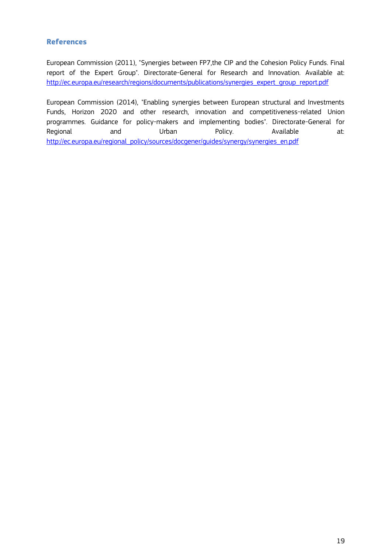#### <span id="page-20-0"></span>**References**

European Commission (2011), "Synergies between FP7,the CIP and the Cohesion Policy Funds. Final report of the Expert Group". Directorate-General for Research and Innovation. Available at: [http://ec.europa.eu/research/regions/documents/publications/synergies\\_expert\\_group\\_report.pdf](http://ec.europa.eu/research/regions/documents/publications/synergies_expert_group_report.pdf)

European Commission (2014), "Enabling synergies between European structural and Investments Funds, Horizon 2020 and other research, innovation and competitiveness-related Union programmes. Guidance for policy-makers and implementing bodies". Directorate-General for Regional and Urban Policy. Available at: [http://ec.europa.eu/regional\\_policy/sources/docgener/guides/synergy/synergies\\_en.pdf](http://ec.europa.eu/regional_policy/sources/docgener/guides/synergy/synergies_en.pdf)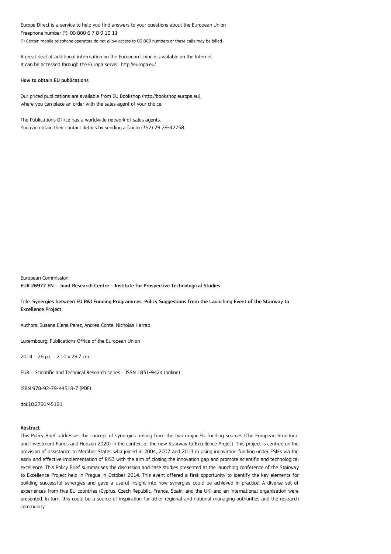Europe Direct is a service to help you find answers to your questions about the European Union Freephone number (\*): 00 800 6 7 8 9 10 11 (\*) Certain mobile telephone operators do not allow access to 00 800 numbers or these calls may be billed.

A great deal of additional information on the European Union is available on the Internet. It can be accessed through the Europa server http://europa.eu/.

#### How to obtain EU publications

Our priced publications are available from EU Bookshop (http://bookshop.europa.eu), where you can place an order with the sales agent of your choice.

The Publications Office has a worldwide network of sales agents. You can obtain their contact details by sending a fax to (352) 29 29-42758.

European Commission EUR 26977 EN – Joint Research Centre – Institute for Prospective Technological Studies

Title: Synergies between EU R&I Funding Programmes. Policy Suggestions from the Launching Event of the Stairway to Excellence Project

Authors: Susana Elena Perez, Andrea Conte, Nicholas Harrap

Luxembourg: Publications Office of the European Union

2014 – 26 pp. – 21.0 x 29.7 cm

EUR – Scientific and Technical Research series – ISSN 1831-9424 (online)

ISBN 978-92-79-44518-7 (PDF)

doi:10.2791/45191

#### Abstract

This Policy Brief addresses the concept of synergies arising from the two major EU funding sources (The European Structural and Investment Funds and Horizon 2020) in the context of the new Stairway to Excellence Project. This project is centred on the provision of assistance to Member States who joined in 2004, 2007 and 2013 in using innovation funding under ESIFs via the early and effective implementation of RIS3 with the aim of closing the innovation gap and promote scientific and technological excellence. This Policy Brief summarises the discussion and case studies presented at the launching conference of the Stairway to Excellence Project held in Prague in October 2014. This event offered a first opportunity to identify the key elements for building successful synergies and gave a useful insight into how synergies could be achieved in practice. A diverse set of experiences from five EU countries (Cyprus, Czech Republic, France, Spain, and the UK) and an international organisation were presented. In turn, this could be a source of inspiration for other regional and national managing authorities and the research community.